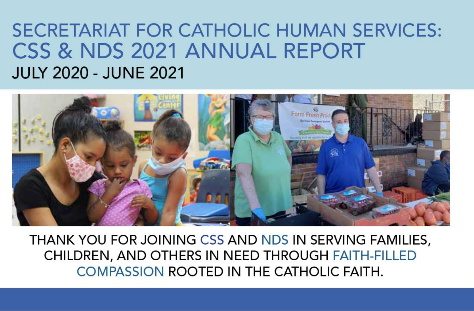# **SECRETARIAT FOR CATHOLIC HUMAN SERVICES:** CSS & NDS 2021 ANNUAL REPORT **JULY 2020 - JUNE 2021**



THANK YOU FOR JOINING CSS AND NDS IN SERVING FAMILIES. CHILDREN, AND OTHERS IN NEED THROUGH FAITH-FILLED COMPASSION ROOTED IN THE CATHOLIC FAITH.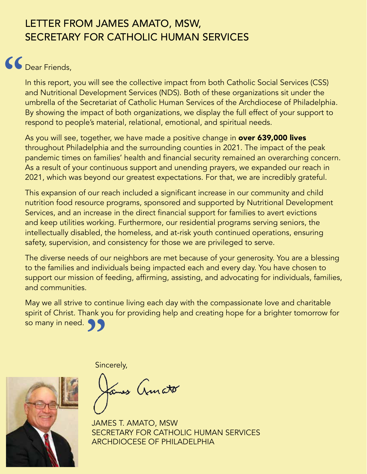### LETTER FROM JAMES AMATO, MSW, SECRETARY FOR CATHOLIC HUMAN SERVICES

# Dear Friends, **"**

In this report, you will see the collective impact from both Catholic Social Services (CSS) and Nutritional Development Services (NDS). Both of these organizations sit under the umbrella of the Secretariat of Catholic Human Services of the Archdiocese of Philadelphia. By showing the impact of both organizations, we display the full effect of your support to respond to people's material, relational, emotional, and spiritual needs.

As you will see, together, we have made a positive change in **over 639,000 lives** throughout Philadelphia and the surrounding counties in 2021. The impact of the peak pandemic times on families' health and financial security remained an overarching concern. As a result of your continuous support and unending prayers, we expanded our reach in 2021, which was beyond our greatest expectations. For that, we are incredibly grateful.

This expansion of our reach included a significant increase in our community and child nutrition food resource programs, sponsored and supported by Nutritional Development Services, and an increase in the direct financial support for families to avert evictions and keep utilities working. Furthermore, our residential programs serving seniors, the intellectually disabled, the homeless, and at-risk youth continued operations, ensuring safety, supervision, and consistency for those we are privileged to serve.

The diverse needs of our neighbors are met because of your generosity. You are a blessing to the families and individuals being impacted each and every day. You have chosen to support our mission of feeding, affirming, assisting, and advocating for individuals, families, and communities.

May we all strive to continue living each day with the compassionate love and charitable spirit of Christ. Thank you for providing help and creating hope for a brighter tomorrow for so many in need.<br> **39** 

Sincerely,

mes Amato

JAMES T. AMATO, MSW SECRETARY FOR CATHOLIC HUMAN SERVICES ARCHDIOCESE OF PHILADELPHIA

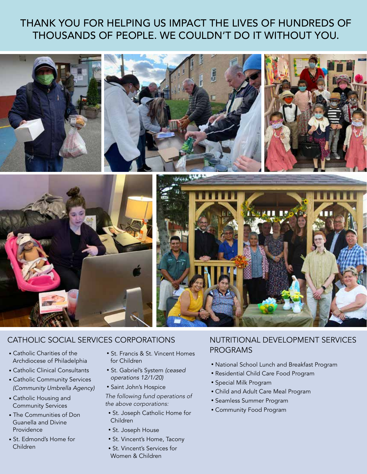### THANK YOU FOR HELPING US IMPACT THE LIVES OF HUNDREDS OF THOUSANDS OF PEOPLE. WE COULDN'T DO IT WITHOUT YOU.



### CATHOLIC SOCIAL SERVICES CORPORATIONS

- Catholic Charities of the Archdiocese of Philadelphia
- Catholic Clinical Consultants
- Catholic Community Services *(Community Umbrella Agency)*
- Catholic Housing and Community Services
- The Communities of Don Guanella and Divine Providence
- St. Edmond's Home for Children
- St. Francis & St. Vincent Homes for Children
- St. Gabriel's System *(ceased operations 12/1/20)*
- Saint John's Hospice
- *The following fund operations of the above corporations:*
- St. Joseph Catholic Home for Children
- St. Joseph House
- St. Vincent's Home, Tacony
- St. Vincent's Services for Women & Children

### NUTRITIONAL DEVELOPMENT SERVICES PROGRAMS

- National School Lunch and Breakfast Program
- Residential Child Care Food Program
- Special Milk Program
- Child and Adult Care Meal Program
- Seamless Summer Program
- Community Food Program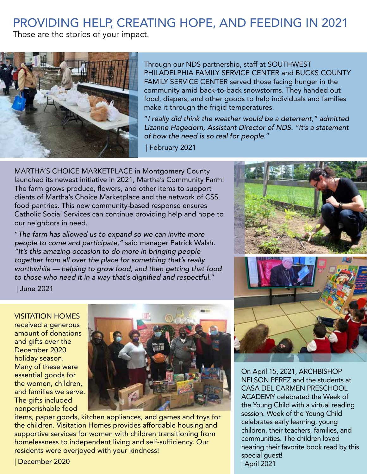### PROVIDING HELP, CREATING HOPE, AND FEEDING IN 2021

These are the stories of your impact.



Through our NDS partnership, staff at SOUTHWEST PHILADELPHIA FAMILY SERVICE CENTER and BUCKS COUNTY FAMILY SERVICE CENTER served those facing hunger in the community amid back-to-back snowstorms. They handed out food, diapers, and other goods to help individuals and families make it through the frigid temperatures.

"*I really did think the weather would be a deterrent," admitted Lizanne Hagedorn, Assistant Director of NDS. "It's a statement of how the need is so real for people.*"

| February 2021

MARTHA'S CHOICE MARKETPLACE in Montgomery County launched its newest initiative in 2021, Martha's Community Farm! The farm grows produce, flowers, and other items to support clients of Martha's Choice Marketplace and the network of CSS food pantries. This new community-based response ensures Catholic Social Services can continue providing help and hope to our neighbors in need.

"*The farm has allowed us to expand so we can invite more people to come and participate,"* said manager Patrick Walsh. *"It's this amazing occasion to do more in bringing people together from all over the place for something that's really worthwhile — helping to grow food, and then getting that food*  to those who need it in a way that's dignified and respectful."

On April 15, 2021, ARCHBISHOP NELSON PEREZ and the students at CASA DEL CARMEN PRESCHOOL ACADEMY celebrated the Week of the Young Child with a virtual reading session. Week of the Young Child celebrates early learning, young children, their teachers, families, and communities. The children loved hearing their favorite book read by this special guest! | April 2021

| June 2021

VISITATION HOMES received a generous amount of donations and gifts over the December 2020 holiday season. Many of these were essential goods for the women, children, and families we serve. The gifts included nonperishable food



items, paper goods, kitchen appliances, and games and toys for the children. Visitation Homes provides affordable housing and supportive services for women with children transitioning from homelessness to independent living and self-sufficiency. Our residents were overjoyed with your kindness!

| December 2020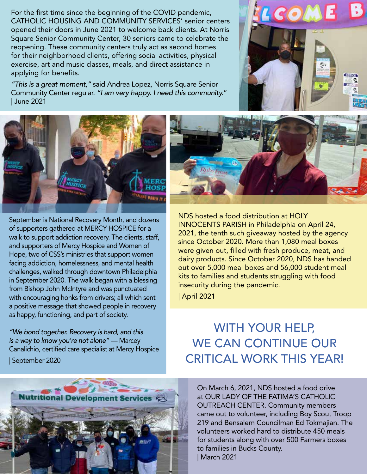For the first time since the beginning of the COVID pandemic, CATHOLIC HOUSING AND COMMUNITY SERVICES' senior centers opened their doors in June 2021 to welcome back clients. At Norris Square Senior Community Center, 30 seniors came to celebrate the reopening. These community centers truly act as second homes for their neighborhood clients, offering social activities, physical exercise, art and music classes, meals, and direct assistance in applying for benefits.

*"This is a great moment,"* said Andrea Lopez, Norris Square Senior Community Center regular. *"I am very happy. I need this community.*" | June 2021





September is National Recovery Month, and dozens of supporters gathered at MERCY HOSPICE for a walk to support addiction recovery. The clients, staff, and supporters of Mercy Hospice and Women of Hope, two of CSS's ministries that support women facing addiction, homelessness, and mental health challenges, walked through downtown Philadelphia in September 2020. The walk began with a blessing from Bishop John McIntyre and was punctuated with encouraging honks from drivers; all which sent a positive message that showed people in recovery as happy, functioning, and part of society.

*"We bond together. Recovery is hard, and this is a way to know you're not alone"* — Marcey Canalichio, certified care specialist at Mercy Hospice | September 2020

NDS hosted a food distribution at HOLY INNOCENTS PARISH in Philadelphia on April 24, 2021, the tenth such giveaway hosted by the agency since October 2020. More than 1,080 meal boxes were given out, filled with fresh produce, meat, and

dairy products. Since October 2020, NDS has handed out over 5,000 meal boxes and 56,000 student meal kits to families and students struggling with food insecurity during the pandemic.

| April 2021

RubrIrost

# WITH YOUR HELP, WE CAN CONTINUE OUR CRITICAL WORK THIS YEAR!



On March 6, 2021, NDS hosted a food drive at OUR LADY OF THE FATIMA'S CATHOLIC OUTREACH CENTER. Community members came out to volunteer, including Boy Scout Troop 219 and Bensalem Councilman Ed Tokmajian. The volunteers worked hard to distribute 450 meals for students along with over 500 Farmers boxes to families in Bucks County. | March 2021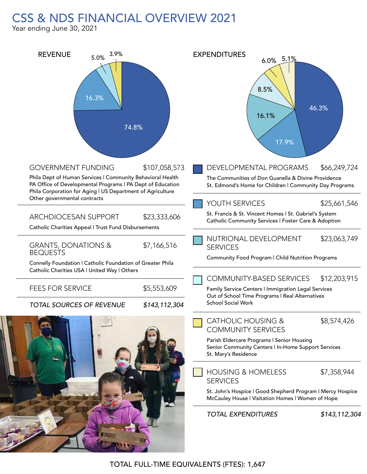### CSS & NDS FINANCIAL OVERVIEW 2021

Year ending June 30, 2021

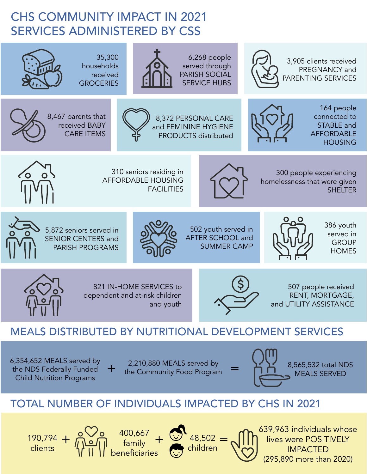## CHS COMMUNITY IMPACT IN 2021 SERVICES ADMINISTERED BY CSS



children

beneficiaries

IMPACTED (295,890 more than 2020)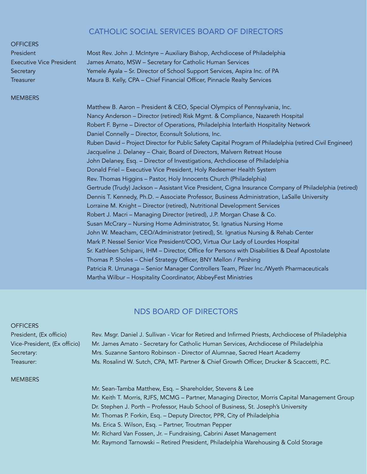#### CATHOLIC SOCIAL SERVICES BOARD OF DIRECTORS

#### **OFFICERS**

#### **MEMBERS**

President Most Rev. John J. McIntyre – Auxiliary Bishop, Archdiocese of Philadelphia Executive Vice President James Amato, MSW – Secretary for Catholic Human Services Secretary **Yemele Ayala – Sr. Director of School Support Services**, Aspira Inc. of PA Treasurer Maura B. Kelly, CPA – Chief Financial Officer, Pinnacle Realty Services

> Matthew B. Aaron – President & CEO, Special Olympics of Pennsylvania, Inc. Nancy Anderson – Director (retired) Risk Mgmt. & Compliance, Nazareth Hospital Robert F. Byrne – Director of Operations, Philadelphia Interfaith Hospitality Network Daniel Connelly – Director, Econsult Solutions, Inc. Ruben David – Project Director for Public Safety Capital Program of Philadelphia (retired Civil Engineer) Jacqueline J. Delaney – Chair, Board of Directors, Malvern Retreat House John Delaney, Esq. – Director of Investigations, Archdiocese of Philadelphia Donald Friel – Executive Vice President, Holy Redeemer Health System Rev. Thomas Higgins – Pastor, Holy Innocents Church (Philadelphia) Gertrude (Trudy) Jackson – Assistant Vice President, Cigna Insurance Company of Philadelphia (retired) Dennis T. Kennedy, Ph.D. – Associate Professor, Business Administration, LaSalle University Lorraine M. Knight – Director (retired), Nutritional Development Services Robert J. Macri – Managing Director (retired), J.P. Morgan Chase & Co. Susan McCrary – Nursing Home Administrator, St. Ignatius Nursing Home John W. Meacham, CEO/Administrator (retired), St. Ignatius Nursing & Rehab Center Mark P. Nessel Senior Vice President/COO, Virtua Our Lady of Lourdes Hospital Sr. Kathleen Schipani, IHM – Director, Office for Persons with Disabilities & Deaf Apostolate Thomas P. Sholes – Chief Strategy Officer, BNY Mellon / Pershing Patricia R. Urrunaga – Senior Manager Controllers Team, Pfizer Inc./Wyeth Pharmaceuticals Martha Wilbur – Hospitality Coordinator, AbbeyFest Ministries

#### NDS BOARD OF DIRECTORS

#### **OFFICERS**

President, (Ex officio) Rev. Msgr. Daniel J. Sullivan - Vicar for Retired and Infirmed Priests, Archdiocese of Philadelphia Vice-President, (Ex officio) Mr. James Amato - Secretary for Catholic Human Services, Archdiocese of Philadelphia Secretary: Mrs. Suzanne Santoro Robinson - Director of Alumnae, Sacred Heart Academy Treasurer: Ms. Rosalind W. Sutch, CPA, MT- Partner & Chief Growth Officer, Drucker & Scaccetti, P.C.

#### **MEMBERS**

Mr. Sean-Tamba Matthew, Esq. – Shareholder, Stevens & Lee Mr. Keith T. Morris, RJFS, MCMG – Partner, Managing Director, Morris Capital Management Group Dr. Stephen J. Porth – Professor, Haub School of Business, St. Joseph's University Mr. Thomas P. Forkin, Esq. – Deputy Director, PPR, City of Philadelphia Ms. Erica S. Wilson, Esq. – Partner, Troutman Pepper Mr. Richard Van Fossen, Jr. – Fundraising, Cabrini Asset Management Mr. Raymond Tarnowski – Retired President, Philadelphia Warehousing & Cold Storage